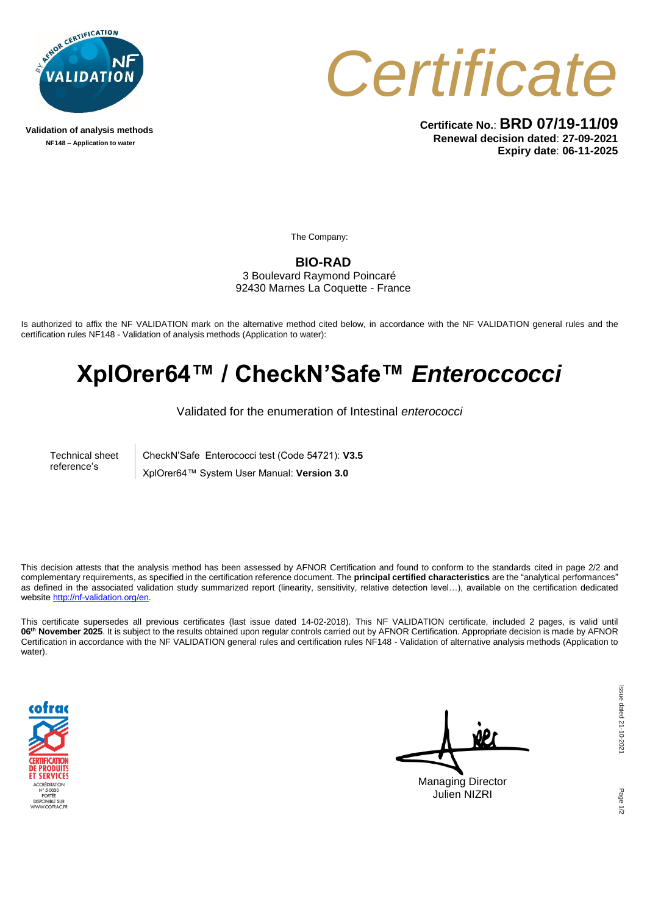

**Validation of analysis methods NF148 – Application to water**



**Certificate No.**: **BRD 07/19-11/09 Renewal decision dated**: **27-09-2021 Expiry date**: **06-11-2025**

The Company:

**BIO-RAD**

3 Boulevard Raymond Poincaré 92430 Marnes La Coquette - France

Is authorized to affix the NF VALIDATION mark on the alternative method cited below, in accordance with the NF VALIDATION general rules and the certification rules NF148 - Validation of analysis methods (Application to water):

## **XplOrer64™ / CheckN'Safe™** *Enteroccocci*

Validated for the enumeration of Intestinal *enterococci*

Technical sheet reference's

CheckN'Safe Enterococci test (Code 54721): **V3.5**

XplOrer64™ System User Manual: **Version 3.0**

This decision attests that the analysis method has been assessed by AFNOR Certification and found to conform to the standards cited in page 2/2 and complementary requirements, as specified in the certification reference document. The **principal certified characteristics** are the "analytical performances" as defined in the associated validation study summarized report (linearity, sensitivity, relative detection level…), available on the certification dedicated website [http://nf-validation.org/en.](http://nf-validation.org/en)

This certificate supersedes all previous certificates (last issue dated 14-02-2018). This NF VALIDATION certificate, included 2 pages, is valid until **06th November 2025**. It is subject to the results obtained upon regular controls carried out by AFNOR Certification. Appropriate decision is made by AFNOR Certification in accordance with the NF VALIDATION general rules and certification rules NF148 - Validation of alternative analysis methods (Application to water).



۵P Managing Director Julien NIZRI